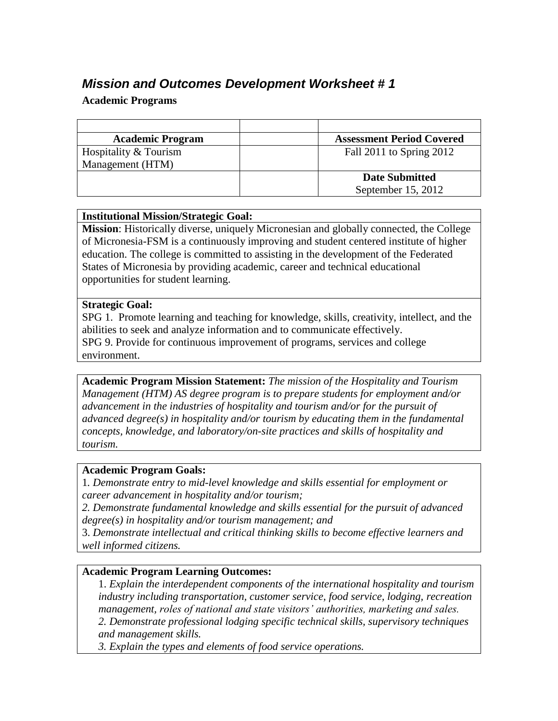# *Mission and Outcomes Development Worksheet # 1*

# **Academic Programs**

| <b>Academic Program</b> | <b>Assessment Period Covered</b> |
|-------------------------|----------------------------------|
| Hospitality & Tourism   | Fall 2011 to Spring 2012         |
| Management (HTM)        |                                  |
|                         | <b>Date Submitted</b>            |
|                         | September 15, 2012               |

## **Institutional Mission/Strategic Goal:**

**Mission**: Historically diverse, uniquely Micronesian and globally connected, the College of Micronesia-FSM is a continuously improving and student centered institute of higher education. The college is committed to assisting in the development of the Federated States of Micronesia by providing academic, career and technical educational opportunities for student learning.

#### **Strategic Goal:**

SPG 1. Promote learning and teaching for knowledge, skills, creativity, intellect, and the abilities to seek and analyze information and to communicate effectively. SPG 9. Provide for continuous improvement of programs, services and college environment.

**Academic Program Mission Statement:** *The mission of the Hospitality and Tourism Management (HTM) AS degree program is to prepare students for employment and/or advancement in the industries of hospitality and tourism and/or for the pursuit of advanced degree(s) in hospitality and/or tourism by educating them in the fundamental concepts, knowledge, and laboratory/on-site practices and skills of hospitality and tourism.*

#### **Academic Program Goals:**

1*. Demonstrate entry to mid-level knowledge and skills essential for employment or career advancement in hospitality and/or tourism;*

*2. Demonstrate fundamental knowledge and skills essential for the pursuit of advanced degree(s) in hospitality and/or tourism management; and* 

3. *Demonstrate intellectual and critical thinking skills to become effective learners and well informed citizens.*

### **Academic Program Learning Outcomes:**

1. *Explain the interdependent components of the international hospitality and tourism industry including transportation, customer service, food service, lodging, recreation management, roles of national and state visitors' authorities, marketing and sales. 2. Demonstrate professional lodging specific technical skills, supervisory techniques and management skills.*

*3. Explain the types and elements of food service operations.*